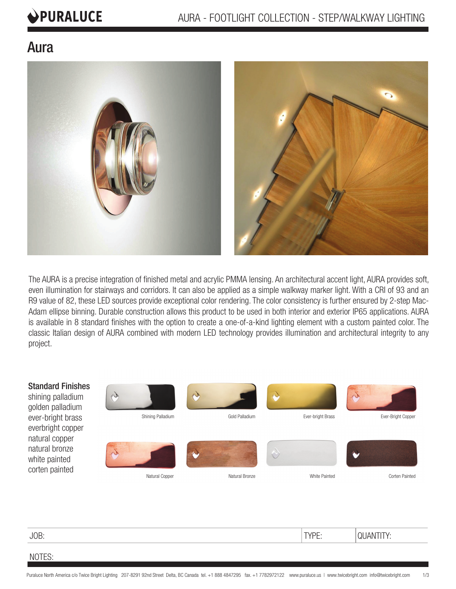# PURALUCE

# Aura



The AURA is a precise integration of finished metal and acrylic PMMA lensing. An architectural accent light, AURA provides soft, even illumination for stairways and corridors. It can also be applied as a simple walkway marker light. With a CRI of 93 and an R9 value of 82, these LED sources provide exceptional color rendering. The color consistency is further ensured by 2-step Mac-Adam ellipse binning. Durable construction allows this product to be used in both interior and exterior IP65 applications. AURA is available in 8 standard finishes with the option to create a one-of-a-kind lighting element with a custom painted color. The classic Italian design of AURA combined with modern LED technology provides illumination and architectural integrity to any project.



| JOB:   | <b>TVDE</b><br>المستحقق والمناور |  |
|--------|----------------------------------|--|
| NOTES: |                                  |  |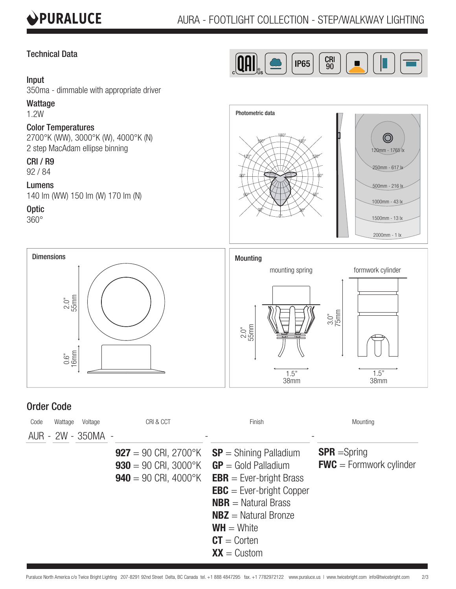

## Technical Data

#### Input

350ma - dimmable with appropriate driver

#### Wattage

1.2W

#### Color Temperatures

2700°K (WW), 3000°K (W), 4000°K (N) 2 step MacAdam ellipse binning

CRI / R9

92 / 84

#### Lumens

140 lm (WW) 150 lm (W) 170 lm (N)

**Optic** 

360°







# Order Code

| Wattage<br>Code    | Voltage | CRI & CCT              | Finish                                          | Mounting                  |
|--------------------|---------|------------------------|-------------------------------------------------|---------------------------|
| AUR - 2W - 350MA - |         |                        |                                                 |                           |
|                    |         |                        | $927 = 90$ CRI, 2700°K $SP =$ Shining Palladium | $SPR =$ Spring            |
|                    |         | $930 = 90$ CRI, 3000°K | $GP = Gold Palladium$                           | $FWC = Formwork cylinder$ |
|                    |         | $940 = 90$ CRI, 4000°K | <b>EBR</b> = Ever-bright Brass                  |                           |
|                    |         |                        | $EBC = Ever-bright Cooper$                      |                           |
|                    |         |                        | $NBR =$ Natural Brass                           |                           |
|                    |         |                        | $N BZ =$ Natural Bronze                         |                           |
|                    |         |                        | $WH = White$                                    |                           |
|                    |         |                        | $CT =$ Corten                                   |                           |
|                    |         |                        | $XX =$ Custom                                   |                           |